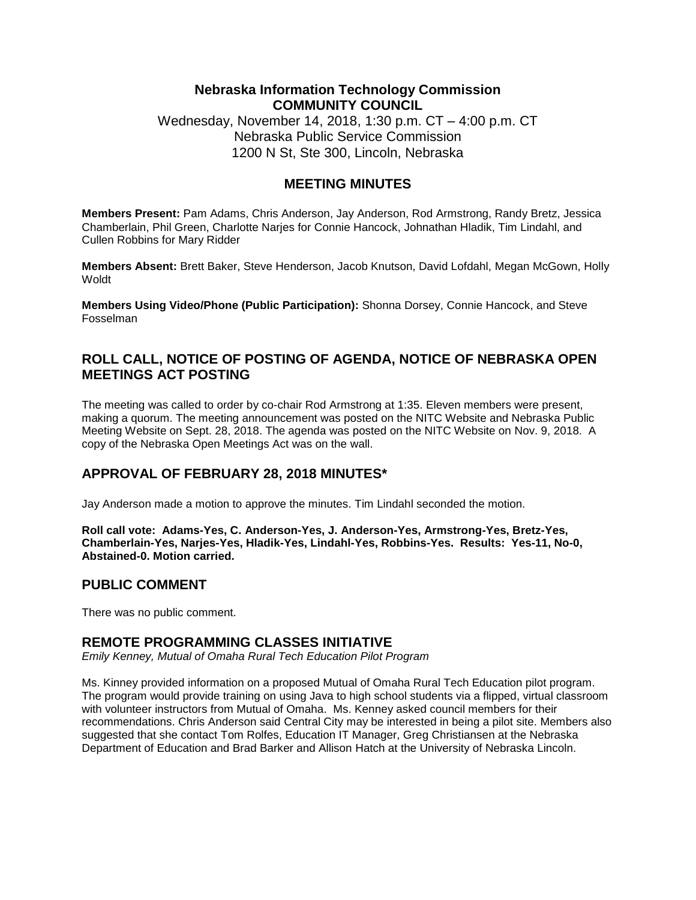### **Nebraska Information Technology Commission COMMUNITY COUNCIL**

Wednesday, November 14, 2018, 1:30 p.m. CT – 4:00 p.m. CT Nebraska Public Service Commission 1200 N St, Ste 300, Lincoln, Nebraska

### **MEETING MINUTES**

**Members Present:** Pam Adams, Chris Anderson, Jay Anderson, Rod Armstrong, Randy Bretz, Jessica Chamberlain, Phil Green, Charlotte Narjes for Connie Hancock, Johnathan Hladik, Tim Lindahl, and Cullen Robbins for Mary Ridder

**Members Absent:** Brett Baker, Steve Henderson, Jacob Knutson, David Lofdahl, Megan McGown, Holly Woldt

**Members Using Video/Phone (Public Participation):** Shonna Dorsey, Connie Hancock, and Steve Fosselman

## **ROLL CALL, NOTICE OF POSTING OF AGENDA, NOTICE OF NEBRASKA OPEN MEETINGS ACT POSTING**

The meeting was called to order by co-chair Rod Armstrong at 1:35. Eleven members were present, making a quorum. The meeting announcement was posted on the NITC Website and Nebraska Public Meeting Website on Sept. 28, 2018. The agenda was posted on the NITC Website on Nov. 9, 2018. A copy of the Nebraska Open Meetings Act was on the wall.

# **APPROVAL OF FEBRUARY 28, 2018 MINUTES\***

Jay Anderson made a motion to approve the minutes. Tim Lindahl seconded the motion.

**Roll call vote: Adams-Yes, C. Anderson-Yes, J. Anderson-Yes, Armstrong-Yes, Bretz-Yes, Chamberlain-Yes, Narjes-Yes, Hladik-Yes, Lindahl-Yes, Robbins-Yes. Results: Yes-11, No-0, Abstained-0. Motion carried.**

#### **PUBLIC COMMENT**

There was no public comment.

#### **REMOTE PROGRAMMING CLASSES INITIATIVE**

*Emily Kenney, Mutual of Omaha Rural Tech Education Pilot Program*

Ms. Kinney provided information on a proposed Mutual of Omaha Rural Tech Education pilot program. The program would provide training on using Java to high school students via a flipped, virtual classroom with volunteer instructors from Mutual of Omaha. Ms. Kenney asked council members for their recommendations. Chris Anderson said Central City may be interested in being a pilot site. Members also suggested that she contact Tom Rolfes, Education IT Manager, Greg Christiansen at the Nebraska Department of Education and Brad Barker and Allison Hatch at the University of Nebraska Lincoln.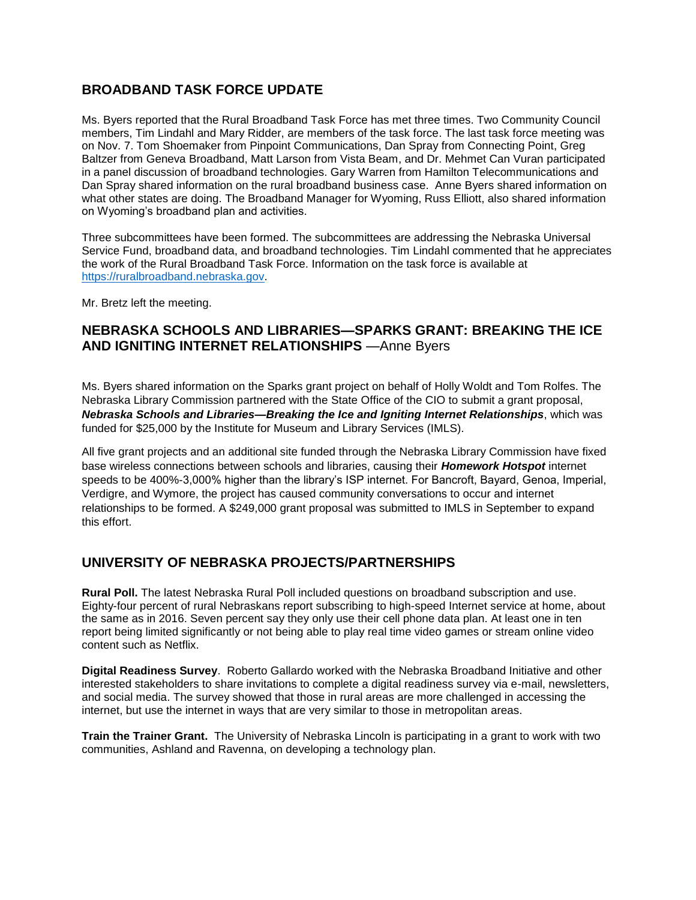# **BROADBAND TASK FORCE UPDATE**

Ms. Byers reported that the Rural Broadband Task Force has met three times. Two Community Council members, Tim Lindahl and Mary Ridder, are members of the task force. The last task force meeting was on Nov. 7. Tom Shoemaker from Pinpoint Communications, Dan Spray from Connecting Point, Greg Baltzer from Geneva Broadband, Matt Larson from Vista Beam, and Dr. Mehmet Can Vuran participated in a panel discussion of broadband technologies. Gary Warren from Hamilton Telecommunications and Dan Spray shared information on the rural broadband business case. Anne Byers shared information on what other states are doing. The Broadband Manager for Wyoming, Russ Elliott, also shared information on Wyoming's broadband plan and activities.

Three subcommittees have been formed. The subcommittees are addressing the Nebraska Universal Service Fund, broadband data, and broadband technologies. Tim Lindahl commented that he appreciates the work of the Rural Broadband Task Force. Information on the task force is available at [https://ruralbroadband.nebraska.gov.](https://ruralbroadband.nebraska.gov/)

Mr. Bretz left the meeting.

## **NEBRASKA SCHOOLS AND LIBRARIES—SPARKS GRANT: BREAKING THE ICE AND IGNITING INTERNET RELATIONSHIPS** —Anne Byers

Ms. Byers shared information on the Sparks grant project on behalf of Holly Woldt and Tom Rolfes. The Nebraska Library Commission partnered with the State Office of the CIO to submit a grant proposal, *Nebraska Schools and Libraries—Breaking the Ice and Igniting Internet Relationships*, which was funded for \$25,000 by the Institute for Museum and Library Services (IMLS).

All five grant projects and an additional site funded through the Nebraska Library Commission have fixed base wireless connections between schools and libraries, causing their *Homework Hotspot* internet speeds to be 400%-3,000% higher than the library's ISP internet. For Bancroft, Bayard, Genoa, Imperial, Verdigre, and Wymore, the project has caused community conversations to occur and internet relationships to be formed. A \$249,000 grant proposal was submitted to IMLS in September to expand this effort.

# **UNIVERSITY OF NEBRASKA PROJECTS/PARTNERSHIPS**

**Rural Poll.** The latest Nebraska Rural Poll included questions on broadband subscription and use. Eighty-four percent of rural Nebraskans report subscribing to high-speed Internet service at home, about the same as in 2016. Seven percent say they only use their cell phone data plan. At least one in ten report being limited significantly or not being able to play real time video games or stream online video content such as Netflix.

**Digital Readiness Survey**. Roberto Gallardo worked with the Nebraska Broadband Initiative and other interested stakeholders to share invitations to complete a digital readiness survey via e-mail, newsletters, and social media. The survey showed that those in rural areas are more challenged in accessing the internet, but use the internet in ways that are very similar to those in metropolitan areas.

**Train the Trainer Grant.** The University of Nebraska Lincoln is participating in a grant to work with two communities, Ashland and Ravenna, on developing a technology plan.